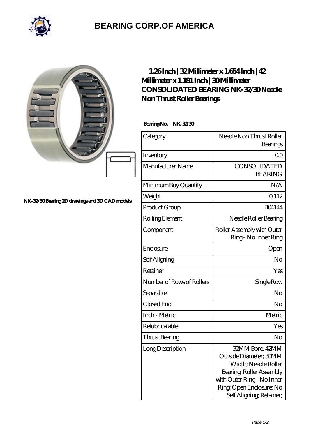

## **[BEARING CORP.OF AMERICA](https://bluemondayreview.com)**

|                                                | $1.26$ Inch   32 Millimeter x 1.654 Inch   42<br>Millimeter x 1.181 Inch   30Millimeter<br>CONSOLIDATED BEARING NK-32/30Needle<br>Non Thrust Roller Bearings<br>Bearing No. NK-32/30 |                                                                                                                                                                                    |
|------------------------------------------------|--------------------------------------------------------------------------------------------------------------------------------------------------------------------------------------|------------------------------------------------------------------------------------------------------------------------------------------------------------------------------------|
|                                                | Category                                                                                                                                                                             | Needle Non Thrust Roller<br>Bearings                                                                                                                                               |
|                                                | Inventory                                                                                                                                                                            | 0 <sup>0</sup>                                                                                                                                                                     |
|                                                | Manufacturer Name                                                                                                                                                                    | CONSOLIDATED<br><b>BEARING</b>                                                                                                                                                     |
|                                                | Minimum Buy Quantity                                                                                                                                                                 | N/A                                                                                                                                                                                |
| NK-32/30 Bearing 2D drawings and 3D CAD models | Weight                                                                                                                                                                               | Q112                                                                                                                                                                               |
|                                                | Product Group                                                                                                                                                                        | <b>BO4144</b>                                                                                                                                                                      |
|                                                | Rolling Element                                                                                                                                                                      | Needle Roller Bearing                                                                                                                                                              |
|                                                | Component                                                                                                                                                                            | Roller Assembly with Outer<br>Ring - No Inner Ring                                                                                                                                 |
|                                                | Enclosure                                                                                                                                                                            | Open                                                                                                                                                                               |
|                                                | Self Aligning                                                                                                                                                                        | No                                                                                                                                                                                 |
|                                                | Retainer                                                                                                                                                                             | Yes                                                                                                                                                                                |
|                                                | Number of Rows of Rollers                                                                                                                                                            | Single Row                                                                                                                                                                         |
|                                                | Separable                                                                                                                                                                            | No                                                                                                                                                                                 |
|                                                | Closed End                                                                                                                                                                           | No                                                                                                                                                                                 |
|                                                | Inch - Metric                                                                                                                                                                        | Metric                                                                                                                                                                             |
|                                                | Relubricatable                                                                                                                                                                       | Yes                                                                                                                                                                                |
|                                                | <b>Thrust Bearing</b>                                                                                                                                                                | No                                                                                                                                                                                 |
|                                                | Long Description                                                                                                                                                                     | 32MM Bore; 42MM<br>Outside Diameter; 30MM<br>Width; Needle Roller<br>Bearing, Roller Assembly<br>with Outer Ring - No Inner<br>Ring Open Enclosure; No<br>Self Aligning, Retainer, |